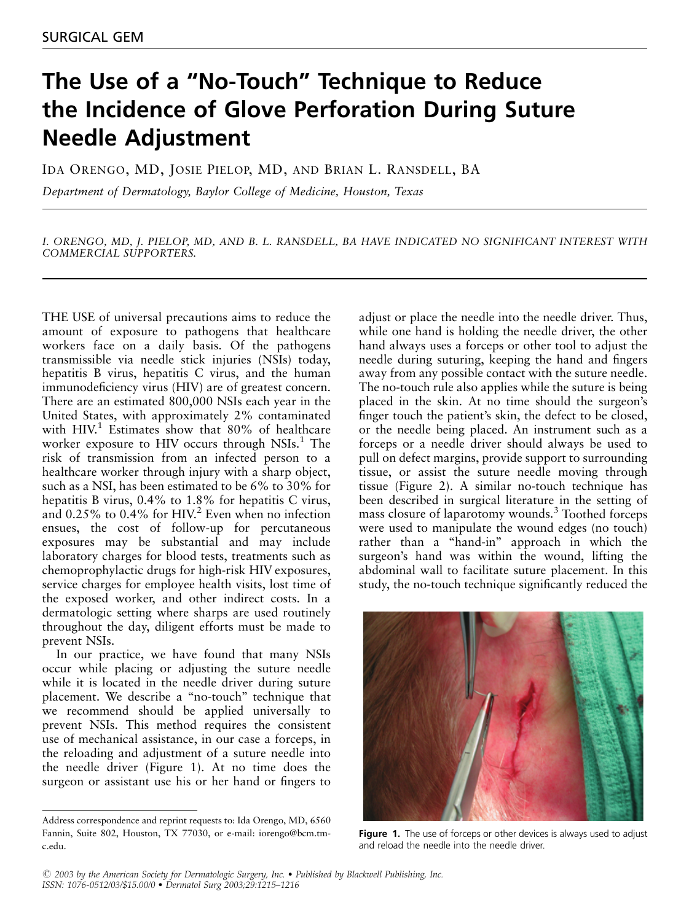## The Use of a ''No-Touch'' Technique to Reduce the Incidence of Glove Perforation During Suture Needle Adjustment

IDA ORENGO, MD, JOSIE PIELOP, MD, AND BRIAN L. RANSDELL, BA

Department of Dermatology, Baylor College of Medicine, Houston, Texas

I. ORENGO, MD, J. PIELOP, MD, AND B. L. RANSDELL, BA HAVE INDICATED NO SIGNIFICANT INTEREST WITH COMMERCIAL SUPPORTERS.

THE USE of universal precautions aims to reduce the amount of exposure to pathogens that healthcare workers face on a daily basis. Of the pathogens transmissible via needle stick injuries (NSIs) today, hepatitis B virus, hepatitis C virus, and the human immunodeficiency virus (HIV) are of greatest concern. There are an estimated 800,000 NSIs each year in the United States, with approximately 2% contaminated with HIV.<sup>1</sup> Estimates show that 80% of healthcare worker exposure to HIV occurs through NSIs.<sup>1</sup> The risk of transmission from an infected person to a healthcare worker through injury with a sharp object, such as a NSI, has been estimated to be 6% to 30% for hepatitis B virus, 0.4% to 1.8% for hepatitis C virus, and 0.25% to 0.4% for HIV.<sup>2</sup> Even when no infection ensues, the cost of follow-up for percutaneous exposures may be substantial and may include laboratory charges for blood tests, treatments such as chemoprophylactic drugs for high-risk HIV exposures, service charges for employee health visits, lost time of the exposed worker, and other indirect costs. In a dermatologic setting where sharps are used routinely throughout the day, diligent efforts must be made to prevent NSIs.

In our practice, we have found that many NSIs occur while placing or adjusting the suture needle while it is located in the needle driver during suture placement. We describe a ''no-touch'' technique that we recommend should be applied universally to prevent NSIs. This method requires the consistent use of mechanical assistance, in our case a forceps, in the reloading and adjustment of a suture needle into the needle driver (Figure 1). At no time does the surgeon or assistant use his or her hand or fingers to adjust or place the needle into the needle driver. Thus, while one hand is holding the needle driver, the other hand always uses a forceps or other tool to adjust the needle during suturing, keeping the hand and fingers away from any possible contact with the suture needle. The no-touch rule also applies while the suture is being placed in the skin. At no time should the surgeon's finger touch the patient's skin, the defect to be closed, or the needle being placed. An instrument such as a forceps or a needle driver should always be used to pull on defect margins, provide support to surrounding tissue, or assist the suture needle moving through tissue (Figure 2). A similar no-touch technique has been described in surgical literature in the setting of mass closure of laparotomy wounds.<sup>3</sup> Toothed forceps were used to manipulate the wound edges (no touch) rather than a "hand-in" approach in which the surgeon's hand was within the wound, lifting the abdominal wall to facilitate suture placement. In this study, the no-touch technique significantly reduced the



Figure 1. The use of forceps or other devices is always used to adjust and reload the needle into the needle driver.

Address correspondence and reprint requests to: Ida Orengo, MD, 6560 Fannin, Suite 802, Houston, TX 77030, or e-mail: iorengo@bcm.tmc.edu.